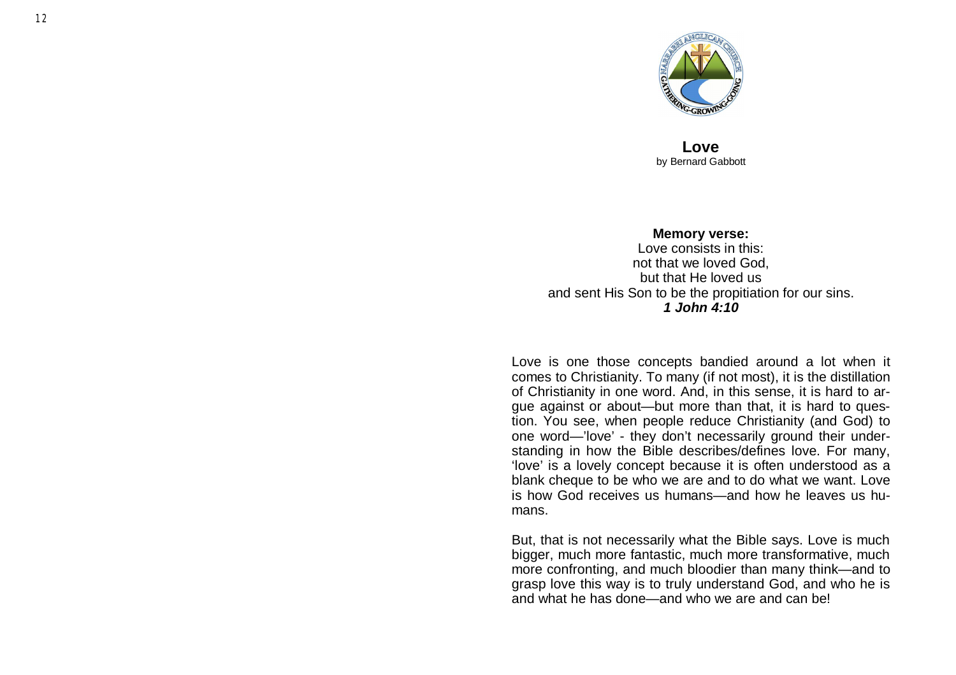

**Love** by Bernard Gabbott

**Memory verse:** Love consists in this: not that we loved God, but that He loved us and sent His Son to be the propitiation for our sins. *1 John 4:10*

Love is one those concepts bandied around a lot when it comes to Christianity. To many (if not most), it is the distillation of Christianity in one word. And, in this sense, it is hard to argue against or about—but more than that, it is hard to question. You see, when people reduce Christianity (and God) to one word — 'love' - they don 't necessarily ground their understanding in how the Bible describes/defines love. For many, 'love' is a lovely concept because it is often understood as a blank cheque to be who we are and to do what we want. Love is how God receives us humans —and how he leaves us humans.

But, that is not necessarily what the Bible says. Love is much bigger, much more fantastic, much more transformative, much more confronting, and much bloodier than many think—and to grasp love this way is to truly understand God, and who he is and what he has done —and who we are and can be!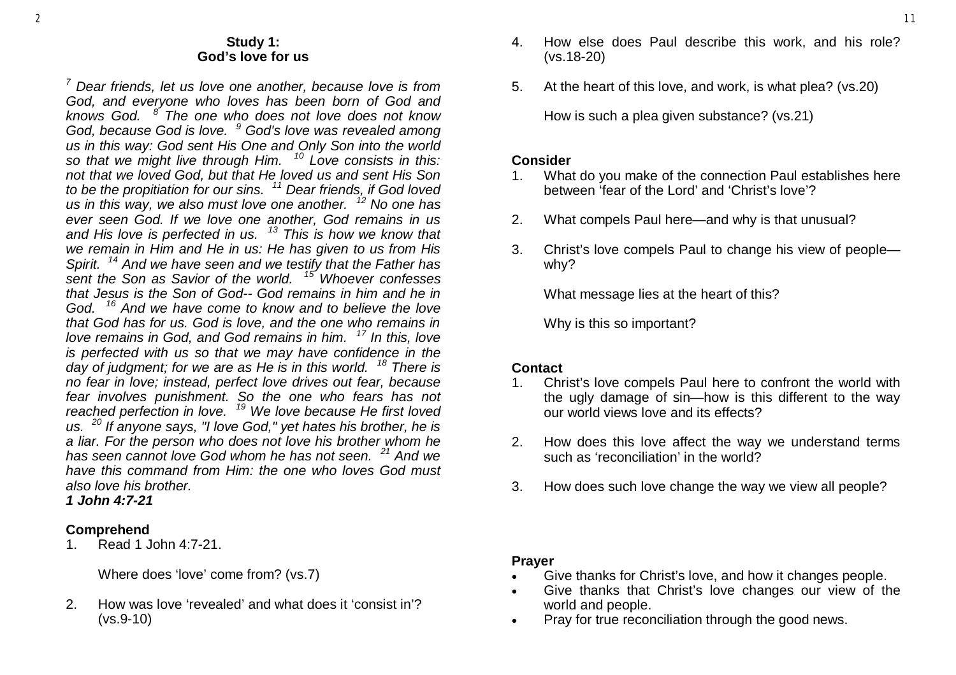#### **Study 1: God's love for us**

*<sup>7</sup> Dear friends, let us love one another, because love is from God, and everyone who loves has been born of God and knows God. <sup>8</sup> The one who does not love does not know God, because God is love. <sup>9</sup> God's love was revealed among us in this way: God sent His One and Only Son into the world so that we might live through Him. <sup>10</sup> Love consists in this: not that we loved God, but that He loved us and sent His Son to be the propitiation for our sins. <sup>11</sup> Dear friends, if God loved us in this way, we also must love one another. <sup>12</sup> No one has ever seen God. If we love one another, God remains in us and His love is perfected in us. <sup>13</sup> This is how we know that we remain in Him and He in us: He has given to us from His Spirit. <sup>14</sup> And we have seen and we testify that the Father has sent the Son as Savior of the world. <sup>15</sup> Whoever confesses that Jesus is the Son of God-- God remains in him and he in God. <sup>16</sup> And we have come to know and to believe the love that God has for us. God is love, and the one who remains in love remains in God, and God remains in him. <sup>17</sup> In this, love is perfected with us so that we may have confidence in the day of judgment; for we are as He is in this world. <sup>18</sup> There is no fear in love; instead, perfect love drives out fear, because fear involves punishment. So the one who fears has not reached perfection in love. <sup>19</sup> We love because He first loved us. <sup>20</sup> If anyone says, "I love God," yet hates his brother, he is a liar. For the person who does not love his brother whom he has seen cannot love God whom he has not seen. <sup>21</sup> And we have this command from Him: the one who loves God must also love his brother.* 

*1 John 4:7-21* 

## **Comprehend**

1. Read 1 John 4:7-21.

Where does 'love' come from? (vs.7)

2. How was love 'revealed' and what does it 'consist in'? (vs.9-10)

- 4. How else does Paul describe this work, and his role? (vs.18-20)
- 5. At the heart of this love, and work, is what plea? (vs.20)

How is such a plea given substance? (vs.21)

### **Consider**

- 1. What do you make of the connection Paul establishes here between 'fear of the Lord' and 'Christ's love'?
- 2. What compels Paul here—and why is that unusual?
- 3. Christ's love compels Paul to change his view of people why?

What message lies at the heart of this?

Why is this so important?

## **Contact**

- 1. Christ's love compels Paul here to confront the world with the ugly damage of sin—how is this different to the way our world views love and its effects?
- 2. How does this love affect the way we understand terms such as 'reconciliation' in the world?
- 3. How does such love change the way we view all people?

#### **Prayer**

- Give thanks for Christ's love, and how it changes people.
- Give thanks that Christ's love changes our view of the world and people.
- Pray for true reconciliation through the good news.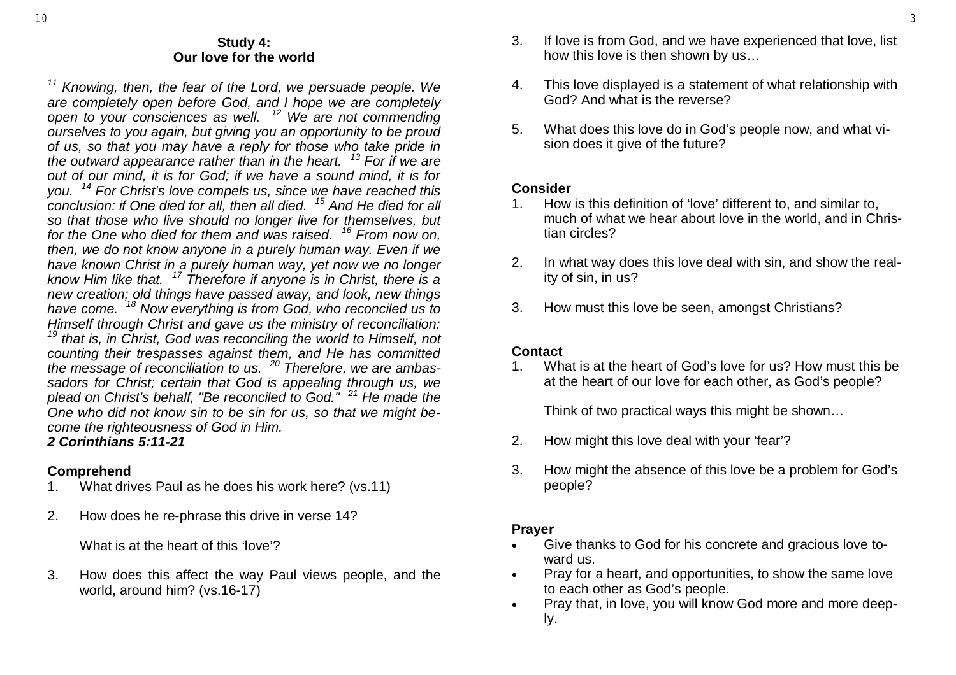#### **Study 4: Our love for the world**

*<sup>11</sup> Knowing, then, the fear of the Lord, we persuade people. We are completely open before God, and I hope we are completely open to your consciences as well. <sup>12</sup> We are not commending ourselves to you again, but giving you an opportunity to be proud of us, so that you may have a reply for those who take pride in the outward appearance rather than in the heart. <sup>13</sup> For if we are out of our mind, it is for God; if we have a sound mind, it is for you. <sup>14</sup> For Christ's love compels us, since we have reached this conclusion: if One died for all, then all died. <sup>15</sup> And He died for all so that those who live should no longer live for themselves, but for the One who died for them and was raised. <sup>16</sup> From now on, then, we do not know anyone in a purely human way. Even if we have known Christ in a purely human way, yet now we no longer know Him like that. <sup>17</sup> Therefore if anyone is in Christ, there is a new creation; old things have passed away, and look, new things have come. <sup>18</sup> Now everything is from God, who reconciled us to Himself through Christ and gave us the ministry of reconciliation: <sup>19</sup> that is, in Christ, God was reconciling the world to Himself, not counting their trespasses against them, and He has committed the message of reconciliation to us. <sup>20</sup> Therefore, we are ambassadors for Christ; certain that God is appealing through us, we plead on Christ's behalf, "Be reconciled to God." <sup>21</sup> He made the One who did not know sin to be sin for us, so that we might become the righteousness of God in Him.* 

# *2 Corinthians 5:11-21*

## **Comprehend**

- 1. What drives Paul as he does his work here? (vs.11)
- 2. How does he re-phrase this drive in verse 14?

What is at the heart of this 'love'?

3. How does this affect the way Paul views people, and the world, around him? (vs.16-17)

- 3. If love is from God, and we have experienced that love, list how this love is then shown by us…
- 4. This love displayed is a statement of what relationship with God? And what is the reverse?
- 5. What does this love do in God's people now, and what vision does it give of the future?

### **Consider**

- 1. How is this definition of 'love' different to, and similar to, much of what we hear about love in the world, and in Christian circles?
- 2. In what way does this love deal with sin, and show the reality of sin, in us?
- 3. How must this love be seen, amongst Christians?

# **Contact**

1. What is at the heart of God's love for us? How must this be at the heart of our love for each other, as God's people?

Think of two practical ways this might be shown…

- 2. How might this love deal with your 'fear'?
- 3. How might the absence of this love be a problem for God's people?

## **Prayer**

- Give thanks to God for his concrete and gracious love toward us.
- Pray for a heart, and opportunities, to show the same love to each other as God's people.
- Pray that, in love, you will know God more and more deeply.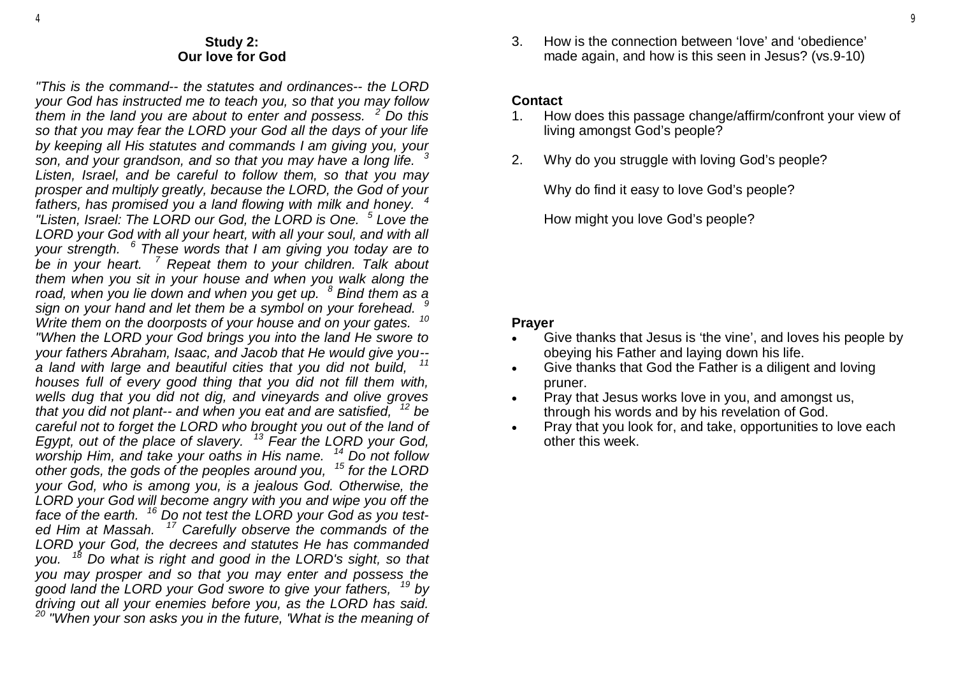#### **Study 2: Our love for God**

*"This is the command-- the statutes and ordinances-- the LORD your God has instructed me to teach you, so that you may follow them in the land you are about to enter and possess. <sup>2</sup> Do this so that you may fear the LORD your God all the days of your life by keeping all His statutes and commands I am giving you, your son, and your grandson, and so that you may have a long life. <sup>3</sup> Listen, Israel, and be careful to follow them, so that you may prosper and multiply greatly, because the LORD, the God of your fathers, has promised you a land flowing with milk and honey. <sup>4</sup> "Listen, Israel: The LORD our God, the LORD is One. <sup>5</sup> Love the LORD your God with all your heart, with all your soul, and with all your strength. <sup>6</sup> These words that I am giving you today are to be in your heart. <sup>7</sup> Repeat them to your children. Talk about them when you sit in your house and when you walk along the road, when you lie down and when you get up. <sup>8</sup> Bind them as a sign on your hand and let them be a symbol on your forehead. <sup>9</sup> Write them on the doorposts of your house and on your gates. <sup>10</sup> "When the LORD your God brings you into the land He swore to your fathers Abraham, Isaac, and Jacob that He would give you- a land with large and beautiful cities that you did not build, <sup>11</sup> houses full of every good thing that you did not fill them with, wells dug that you did not dig, and vineyards and olive groves that you did not plant-- and when you eat and are satisfied, <sup>12</sup> be careful not to forget the LORD who brought you out of the land of Egypt, out of the place of slavery. <sup>13</sup> Fear the LORD your God, worship Him, and take your oaths in His name. <sup>14</sup> Do not follow* 

*other gods, the gods of the peoples around you, <sup>15</sup> for the LORD your God, who is among you, is a jealous God. Otherwise, the LORD your God will become angry with you and wipe you off the face of the earth. <sup>16</sup> Do not test the LORD your God as you tested Him at Massah. <sup>17</sup> Carefully observe the commands of the LORD your God, the decrees and statutes He has commanded you. <sup>18</sup> Do what is right and good in the LORD's sight, so that you may prosper and so that you may enter and possess the good land the LORD your God swore to give your fathers, <sup>19</sup> by driving out all your enemies before you, as the LORD has said. <sup>20</sup> "When your son asks you in the future, 'What is the meaning of* 

3. How is the connection between 'love' and 'obedience' made again, and how is this seen in Jesus? (vs.9-10)

#### **Contact**

- 1. How does this passage change/affirm/confront your view of living amongst God's people?
- 2. Why do you struggle with loving God's people?

Why do find it easy to love God's people?

How might you love God's people?

## **Prayer**

- Give thanks that Jesus is 'the vine', and loves his people by obeying his Father and laying down his life.
- Give thanks that God the Father is a diligent and loving pruner.
- Pray that Jesus works love in you, and amongst us, through his words and by his revelation of God.
- Pray that you look for, and take, opportunities to love each other this week.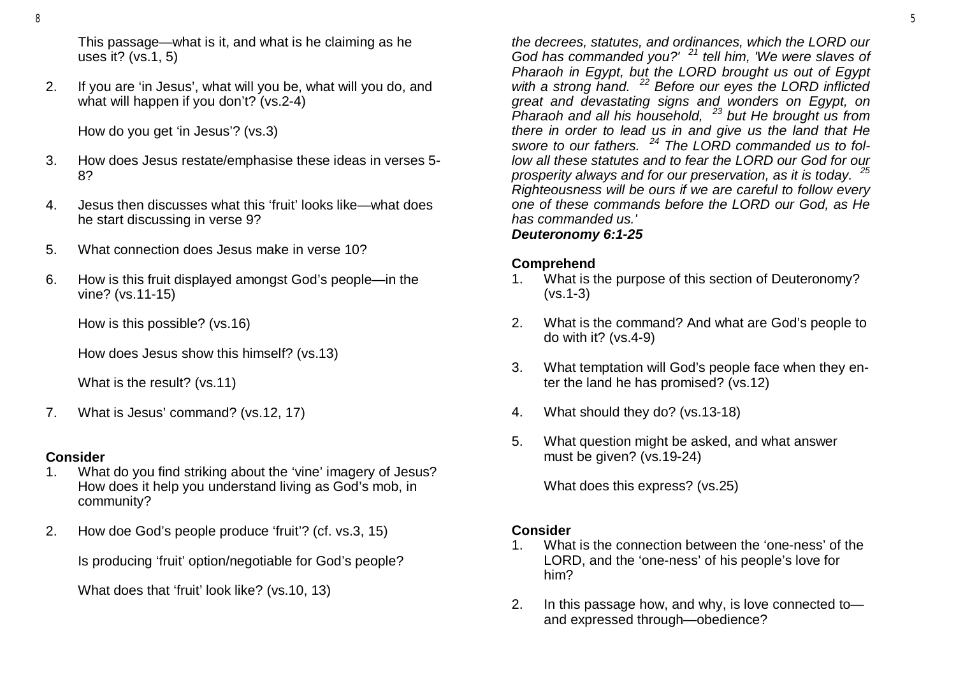This passage—what is it, and what is he claiming as he uses it? (vs.1, 5)

2. If you are 'in Jesus', what will you be, what will you do, and what will happen if you don't? (vs.2-4)

How do you get 'in Jesus'? (vs.3)

- 3. How does Jesus restate/emphasise these ideas in verses 5- 8?
- 4. Jesus then discusses what this 'fruit' looks like—what does he start discussing in verse 9?
- 5. What connection does Jesus make in verse 10?
- 6. How is this fruit displayed amongst God's people—in the vine? (vs.11-15)

How is this possible? (vs.16)

How does Jesus show this himself? (vs.13)

What is the result? (vs.11)

7. What is Jesus' command? (vs.12, 17)

### **Consider**

- 1. What do you find striking about the 'vine' imagery of Jesus? How does it help you understand living as God's mob, in community?
- 2. How doe God's people produce 'fruit'? (cf. vs.3, 15)

Is producing 'fruit' option/negotiable for God's people?

What does that 'fruit' look like? (vs.10, 13)

*the decrees, statutes, and ordinances, which the LORD our God has commanded you?' <sup>21</sup> tell him, 'We were slaves of Pharaoh in Egypt, but the LORD brought us out of Egypt with a strong hand. <sup>22</sup> Before our eyes the LORD inflicted great and devastating signs and wonders on Egypt, on Pharaoh and all his household, <sup>23</sup> but He brought us from there in order to lead us in and give us the land that He swore to our fathers. <sup>24</sup> The LORD commanded us to follow all these statutes and to fear the LORD our God for our prosperity always and for our preservation, as it is today. <sup>25</sup> Righteousness will be ours if we are careful to follow every one of these commands before the LORD our God, as He has commanded us.' Deuteronomy 6:1-25* 

# **Comprehend**

- 1. What is the purpose of this section of Deuteronomy? (vs.1-3)
- 2. What is the command? And what are God's people to do with it? (vs.4-9)
- 3. What temptation will God's people face when they enter the land he has promised? (vs.12)
- 4. What should they do? (vs.13-18)
- 5. What question might be asked, and what answer must be given? (vs.19-24)

What does this express? (vs.25)

# **Consider**

- 1. What is the connection between the 'one-ness' of the LORD, and the 'one-ness' of his people's love for him?
- 2. In this passage how, and why, is love connected to and expressed through—obedience?